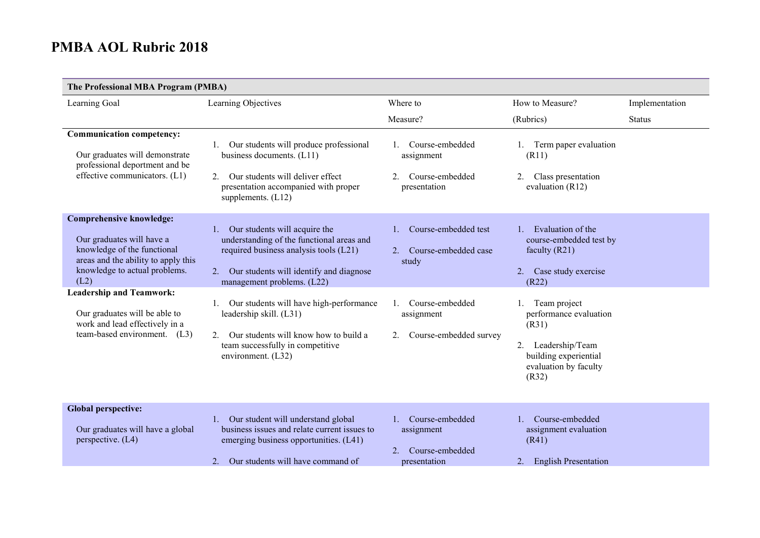| The Professional MBA Program (PMBA)                                                                                                                                                                            |                                                                                                                                                                                                           |                                                                        |                                                                                                                                     |                |
|----------------------------------------------------------------------------------------------------------------------------------------------------------------------------------------------------------------|-----------------------------------------------------------------------------------------------------------------------------------------------------------------------------------------------------------|------------------------------------------------------------------------|-------------------------------------------------------------------------------------------------------------------------------------|----------------|
| Learning Goal                                                                                                                                                                                                  | Learning Objectives                                                                                                                                                                                       | Where to                                                               | How to Measure?                                                                                                                     | Implementation |
|                                                                                                                                                                                                                |                                                                                                                                                                                                           | Measure?                                                               | (Rubrics)                                                                                                                           | <b>Status</b>  |
| <b>Communication competency:</b><br>Our graduates will demonstrate<br>professional deportment and be<br>effective communicators. (L1)                                                                          | Our students will produce professional<br>1.<br>business documents. (L11)<br>Our students will deliver effect<br>$2^{+}$<br>presentation accompanied with proper<br>supplements. (L12)                    | Course-embedded<br>assignment<br>2.<br>Course-embedded<br>presentation | Term paper evaluation<br>(R11)<br>Class presentation<br>2.<br>evaluation (R12)                                                      |                |
| <b>Comprehensive knowledge:</b><br>Our graduates will have a<br>knowledge of the functional<br>areas and the ability to apply this<br>knowledge to actual problems.<br>(L2)<br><b>Leadership and Teamwork:</b> | Our students will acquire the<br>1.<br>understanding of the functional areas and<br>required business analysis tools (L21)<br>Our students will identify and diagnose<br>2.<br>management problems. (L22) | Course-embedded test<br>1.<br>2. Course-embedded case<br>study         | Evaluation of the<br>$1 -$<br>course-embedded test by<br>faculty $(R21)$<br>Case study exercise<br>2.<br>(R22)                      |                |
| Our graduates will be able to<br>work and lead effectively in a<br>team-based environment. (L3)                                                                                                                | Our students will have high-performance<br>1.<br>leadership skill. (L31)<br>Our students will know how to build a<br>$\mathcal{D}$<br>team successfully in competitive<br>environment. (L32)              | 1. Course-embedded<br>assignment<br>Course-embedded survey<br>2.       | Team project<br>performance evaluation<br>(R31)<br>Leadership/Team<br>2.<br>building experiential<br>evaluation by faculty<br>(R32) |                |
| <b>Global perspective:</b><br>Our graduates will have a global<br>perspective. (L4)                                                                                                                            | 1. Our student will understand global<br>business issues and relate current issues to<br>emerging business opportunities. (L41)<br>Our students will have command of<br>$2^{+}$                           | 1. Course-embedded<br>assignment<br>2. Course-embedded<br>presentation | Course-embedded<br>assignment evaluation<br>(R41)<br><b>English Presentation</b><br>2.                                              |                |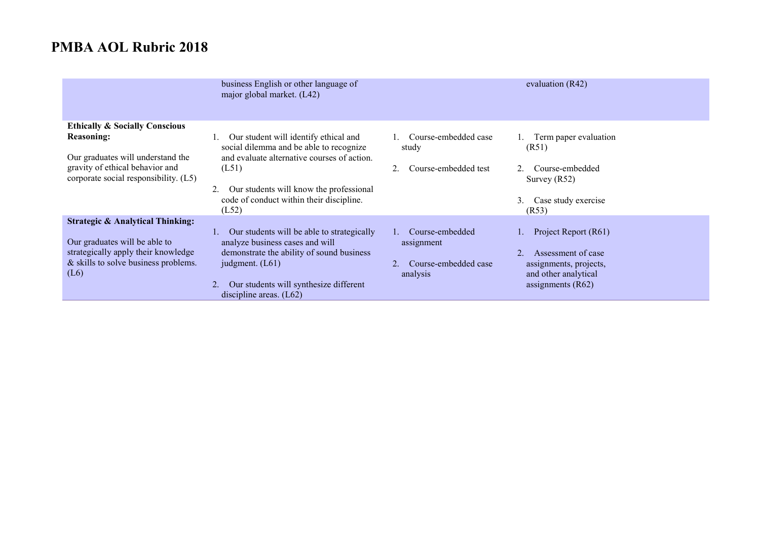|                                                                                                                                                                                 | business English or other language of<br>major global market. (L42)                                                                                                                                                                      | evaluation (R42)                                                                                                                                                                         |  |
|---------------------------------------------------------------------------------------------------------------------------------------------------------------------------------|------------------------------------------------------------------------------------------------------------------------------------------------------------------------------------------------------------------------------------------|------------------------------------------------------------------------------------------------------------------------------------------------------------------------------------------|--|
| <b>Ethically &amp; Socially Conscious</b><br><b>Reasoning:</b><br>Our graduates will understand the<br>gravity of ethical behavior and<br>corporate social responsibility. (L5) | Our student will identify ethical and<br>social dilemma and be able to recognize<br>and evaluate alternative courses of action.<br>(L51)<br>Our students will know the professional<br>code of conduct within their discipline.<br>(L52) | Course-embedded case<br>Term paper evaluation<br>(R51)<br>study<br>Course-embedded test<br>Course-embedded<br>Survey $(R52)$<br>Case study exercise<br>3.<br>(R53)                       |  |
| <b>Strategic &amp; Analytical Thinking:</b><br>Our graduates will be able to<br>strategically apply their knowledge<br>& skills to solve business problems.<br>(L6)             | Our students will be able to strategically<br>analyze business cases and will<br>demonstrate the ability of sound business<br>judgment. $(L61)$<br>Our students will synthesize different<br>discipline areas. $(L62)$                   | Course-embedded<br>Project Report (R61)<br>assignment<br>Assessment of case<br>Course-embedded case<br>assignments, projects,<br>and other analytical<br>analysis<br>assignments $(R62)$ |  |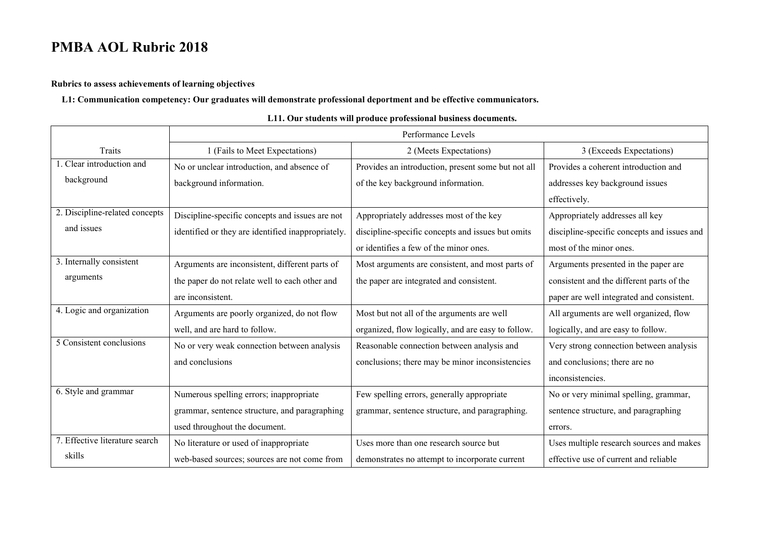**Rubrics to assess achievements of learning objectives**

**L1: Communication competency: Our graduates will demonstrate professional deportment and be effective communicators.**

|                                | Performance Levels                                 |                                                    |                                             |
|--------------------------------|----------------------------------------------------|----------------------------------------------------|---------------------------------------------|
| <b>Traits</b>                  | 1 (Fails to Meet Expectations)                     | 2 (Meets Expectations)                             | 3 (Exceeds Expectations)                    |
| 1. Clear introduction and      | No or unclear introduction, and absence of         | Provides an introduction, present some but not all | Provides a coherent introduction and        |
| background                     | background information.                            | of the key background information.                 | addresses key background issues             |
|                                |                                                    |                                                    | effectively.                                |
| 2. Discipline-related concepts | Discipline-specific concepts and issues are not    | Appropriately addresses most of the key            | Appropriately addresses all key             |
| and issues                     | identified or they are identified inappropriately. | discipline-specific concepts and issues but omits  | discipline-specific concepts and issues and |
|                                |                                                    | or identifies a few of the minor ones.             | most of the minor ones.                     |
| 3. Internally consistent       | Arguments are inconsistent, different parts of     | Most arguments are consistent, and most parts of   | Arguments presented in the paper are        |
| arguments                      | the paper do not relate well to each other and     | the paper are integrated and consistent.           | consistent and the different parts of the   |
|                                | are inconsistent.                                  |                                                    | paper are well integrated and consistent.   |
| 4. Logic and organization      | Arguments are poorly organized, do not flow        | Most but not all of the arguments are well         | All arguments are well organized, flow      |
|                                | well, and are hard to follow.                      | organized, flow logically, and are easy to follow. | logically, and are easy to follow.          |
| 5 Consistent conclusions       | No or very weak connection between analysis        | Reasonable connection between analysis and         | Very strong connection between analysis     |
|                                | and conclusions                                    | conclusions; there may be minor inconsistencies    | and conclusions; there are no               |
|                                |                                                    |                                                    | inconsistencies.                            |
| 6. Style and grammar           | Numerous spelling errors; inappropriate            | Few spelling errors, generally appropriate         | No or very minimal spelling, grammar,       |
|                                | grammar, sentence structure, and paragraphing      | grammar, sentence structure, and paragraphing.     | sentence structure, and paragraphing        |
|                                | used throughout the document.                      |                                                    | errors.                                     |
| 7. Effective literature search | No literature or used of inappropriate             | Uses more than one research source but             | Uses multiple research sources and makes    |
| skills                         | web-based sources; sources are not come from       | demonstrates no attempt to incorporate current     | effective use of current and reliable       |

#### **L11. Our students will produce professional business documents.**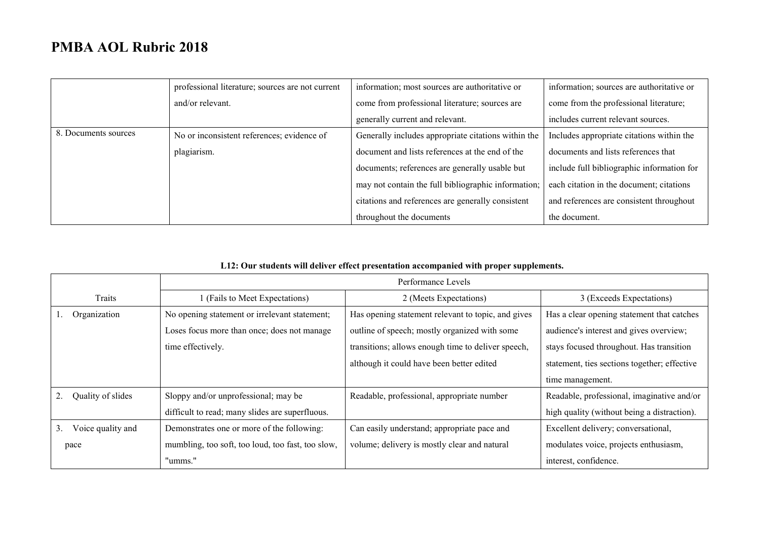|                      | professional literature; sources are not current | information; most sources are authoritative or      | information; sources are authoritative or  |
|----------------------|--------------------------------------------------|-----------------------------------------------------|--------------------------------------------|
|                      | and/or relevant.                                 | come from professional literature; sources are      | come from the professional literature;     |
|                      |                                                  | generally current and relevant.                     | includes current relevant sources.         |
| 8. Documents sources | No or inconsistent references; evidence of       | Generally includes appropriate citations within the | Includes appropriate citations within the  |
|                      | plagiarism.                                      | document and lists references at the end of the     | documents and lists references that        |
|                      |                                                  | documents; references are generally usable but      | include full bibliographic information for |
|                      |                                                  | may not contain the full bibliographic information; | each citation in the document; citations   |
|                      |                                                  | citations and references are generally consistent   | and references are consistent throughout   |
|                      |                                                  | throughout the documents                            | the document.                              |

|                         | Performance Levels                                |                                                    |                                              |
|-------------------------|---------------------------------------------------|----------------------------------------------------|----------------------------------------------|
| Traits                  | (Fails to Meet Expectations)                      | 2 (Meets Expectations)                             | 3 (Exceeds Expectations)                     |
| Organization            | No opening statement or irrelevant statement;     | Has opening statement relevant to topic, and gives | Has a clear opening statement that catches   |
|                         | Loses focus more than once; does not manage       | outline of speech; mostly organized with some      | audience's interest and gives overview;      |
|                         | time effectively.                                 | transitions; allows enough time to deliver speech, | stays focused throughout. Has transition     |
|                         |                                                   | although it could have been better edited          | statement, ties sections together; effective |
|                         |                                                   |                                                    | time management.                             |
| Quality of slides       | Sloppy and/or unprofessional; may be              | Readable, professional, appropriate number         | Readable, professional, imaginative and/or   |
|                         | difficult to read; many slides are superfluous.   |                                                    | high quality (without being a distraction).  |
| 3.<br>Voice quality and | Demonstrates one or more of the following:        | Can easily understand; appropriate pace and        | Excellent delivery; conversational,          |
| pace                    | mumbling, too soft, too loud, too fast, too slow, | volume; delivery is mostly clear and natural       | modulates voice, projects enthusiasm,        |
|                         | "umms."                                           |                                                    | interest, confidence.                        |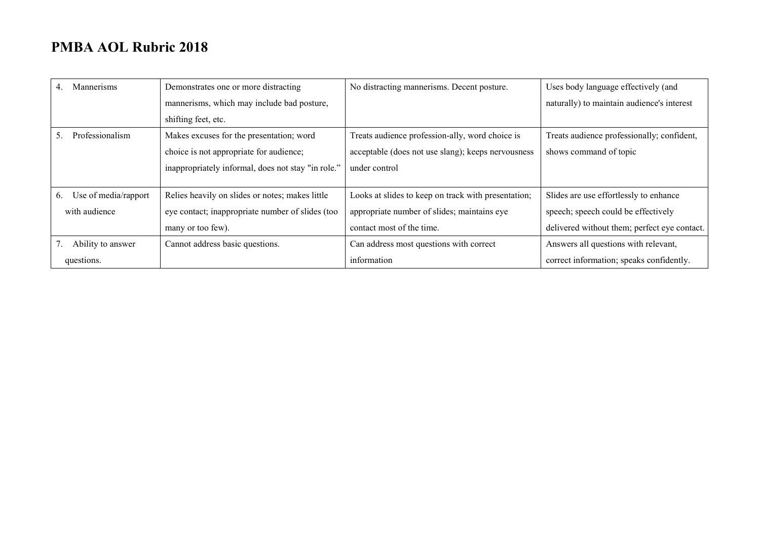| <b>Mannerisms</b><br>4.    | Demonstrates one or more distracting               | No distracting mannerisms. Decent posture.          | Uses body language effectively (and          |
|----------------------------|----------------------------------------------------|-----------------------------------------------------|----------------------------------------------|
|                            | mannerisms, which may include bad posture,         |                                                     | naturally) to maintain audience's interest   |
|                            | shifting feet, etc.                                |                                                     |                                              |
| Professionalism<br>5.      | Makes excuses for the presentation; word           | Treats audience profession-ally, word choice is     | Treats audience professionally; confident,   |
|                            | choice is not appropriate for audience;            | acceptable (does not use slang); keeps nervousness  | shows command of topic                       |
|                            | inappropriately informal, does not stay "in role." | under control                                       |                                              |
|                            |                                                    |                                                     |                                              |
| Use of media/rapport<br>6. | Relies heavily on slides or notes; makes little    | Looks at slides to keep on track with presentation; | Slides are use effortlessly to enhance       |
| with audience              | eye contact; inappropriate number of slides (too   | appropriate number of slides; maintains eye         | speech; speech could be effectively          |
|                            | many or too few).                                  | contact most of the time.                           | delivered without them; perfect eye contact. |
| Ability to answer          | Cannot address basic questions.                    | Can address most questions with correct             | Answers all questions with relevant,         |
| questions.                 |                                                    | information                                         | correct information; speaks confidently.     |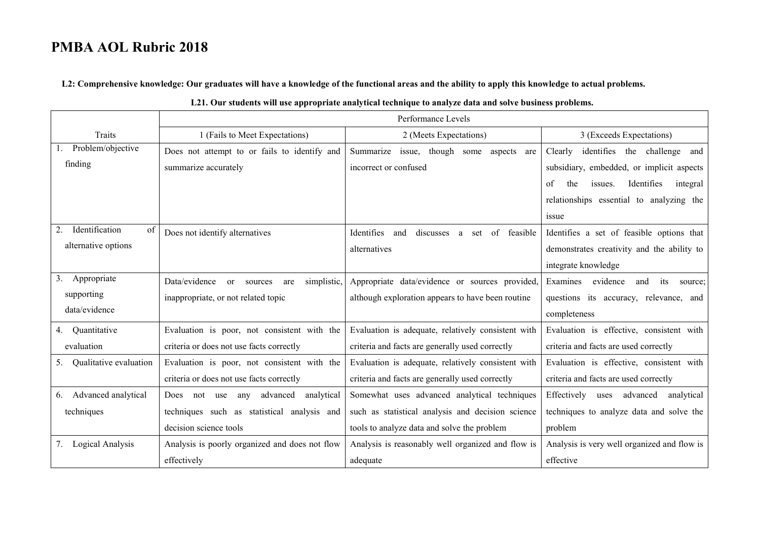**L2: Comprehensive knowledge: Our graduates will have a knowledge of the functional areas and the ability to apply this knowledge to actual problems.**

|                            |                                                   | LZT. Our students will use appropriate analytical technique to analyze data and solve business problems. |                                                |
|----------------------------|---------------------------------------------------|----------------------------------------------------------------------------------------------------------|------------------------------------------------|
|                            |                                                   | Performance Levels                                                                                       |                                                |
| Traits                     | 1 (Fails to Meet Expectations)                    | 2 (Meets Expectations)                                                                                   | 3 (Exceeds Expectations)                       |
| Problem/objective          | Does not attempt to or fails to identify and      | Summarize issue, though some aspects are                                                                 | identifies the challenge and<br>Clearly        |
| finding                    | summarize accurately                              | incorrect or confused                                                                                    | subsidiary, embedded, or implicit aspects      |
|                            |                                                   |                                                                                                          | Identifies<br>of<br>the<br>issues.<br>integral |
|                            |                                                   |                                                                                                          | relationships essential to analyzing the       |
|                            |                                                   |                                                                                                          | issue                                          |
| Identification<br>2.<br>of | Does not identify alternatives                    | Identifies<br>discusses a<br>of feasible<br>and<br>set                                                   | Identifies a set of feasible options that      |
| alternative options        |                                                   | alternatives                                                                                             | demonstrates creativity and the ability to     |
|                            |                                                   |                                                                                                          | integrate knowledge                            |
| 3.<br>Appropriate          | Data/evidence<br>simplistic,<br>or sources<br>are | Appropriate data/evidence or sources provided,                                                           | Examines<br>evidence<br>and<br>its<br>source:  |
| supporting                 | inappropriate, or not related topic               | although exploration appears to have been routine                                                        | questions its accuracy, relevance, and         |
| data/evidence              |                                                   |                                                                                                          | completeness                                   |
| 4. Quantitative            | Evaluation is poor, not consistent with the       | Evaluation is adequate, relatively consistent with                                                       | Evaluation is effective, consistent with       |
| evaluation                 | criteria or does not use facts correctly          | criteria and facts are generally used correctly                                                          | criteria and facts are used correctly          |
| 5. Qualitative evaluation  | Evaluation is poor, not consistent with the       | Evaluation is adequate, relatively consistent with                                                       | Evaluation is effective, consistent with       |
|                            | criteria or does not use facts correctly          | criteria and facts are generally used correctly                                                          | criteria and facts are used correctly          |
| 6. Advanced analytical     | advanced<br>analytical<br>any<br>Does not use     | Somewhat uses advanced analytical techniques                                                             | Effectively uses<br>advanced<br>analytical     |
| techniques                 | techniques such as statistical analysis and       | such as statistical analysis and decision science                                                        | techniques to analyze data and solve the       |
|                            | decision science tools                            | tools to analyze data and solve the problem                                                              | problem                                        |
| 7. Logical Analysis        | Analysis is poorly organized and does not flow    | Analysis is reasonably well organized and flow is                                                        | Analysis is very well organized and flow is    |
|                            | effectively                                       | adequate                                                                                                 | effective                                      |

#### **L21. Our students will use appropriate analytical technique to analyze data and solve business problems.**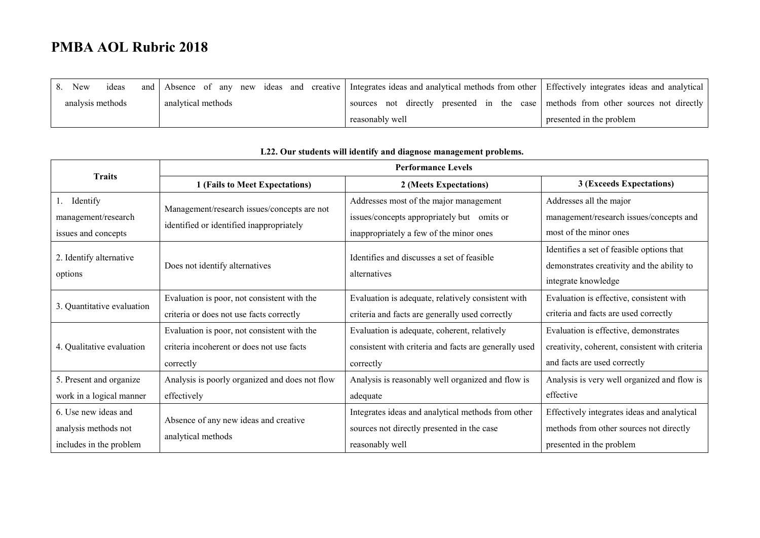| New<br>ideas     |                    | and Absence of any new ideas and creative Integrates ideas and analytical methods from other Effectively integrates ideas and analytical |                          |
|------------------|--------------------|------------------------------------------------------------------------------------------------------------------------------------------|--------------------------|
| analysis methods | analytical methods | sources not directly presented in the case methods from other sources not directly                                                       |                          |
|                  |                    | reasonably well                                                                                                                          | presented in the problem |

| <b>Traits</b>              |                                                | <b>Performance Levels</b>                             |                                                |  |
|----------------------------|------------------------------------------------|-------------------------------------------------------|------------------------------------------------|--|
|                            | 1 (Fails to Meet Expectations)                 | 2 (Meets Expectations)                                | 3 (Exceeds Expectations)                       |  |
| Identify<br>Ι.             | Management/research issues/concepts are not    | Addresses most of the major management                | Addresses all the major                        |  |
| management/research        | identified or identified inappropriately       | issues/concepts appropriately but omits or            | management/research issues/concepts and        |  |
| issues and concepts        |                                                | inappropriately a few of the minor ones               | most of the minor ones                         |  |
| 2. Identify alternative    |                                                | Identifies and discusses a set of feasible            | Identifies a set of feasible options that      |  |
|                            | Does not identify alternatives                 | alternatives                                          | demonstrates creativity and the ability to     |  |
| options                    |                                                |                                                       | integrate knowledge                            |  |
| 3. Quantitative evaluation | Evaluation is poor, not consistent with the    | Evaluation is adequate, relatively consistent with    | Evaluation is effective, consistent with       |  |
|                            | criteria or does not use facts correctly       | criteria and facts are generally used correctly       | criteria and facts are used correctly          |  |
|                            | Evaluation is poor, not consistent with the    | Evaluation is adequate, coherent, relatively          | Evaluation is effective, demonstrates          |  |
| 4. Qualitative evaluation  | criteria incoherent or does not use facts      | consistent with criteria and facts are generally used | creativity, coherent, consistent with criteria |  |
|                            | correctly                                      | correctly                                             | and facts are used correctly                   |  |
| 5. Present and organize    | Analysis is poorly organized and does not flow | Analysis is reasonably well organized and flow is     | Analysis is very well organized and flow is    |  |
| work in a logical manner   | effectively                                    | adequate                                              | effective                                      |  |
| 6. Use new ideas and       |                                                | Integrates ideas and analytical methods from other    | Effectively integrates ideas and analytical    |  |
| analysis methods not       | Absence of any new ideas and creative          | sources not directly presented in the case            | methods from other sources not directly        |  |
| includes in the problem    | analytical methods                             | reasonably well                                       | presented in the problem                       |  |

#### **L22. Our students will identify and diagnose management problems.**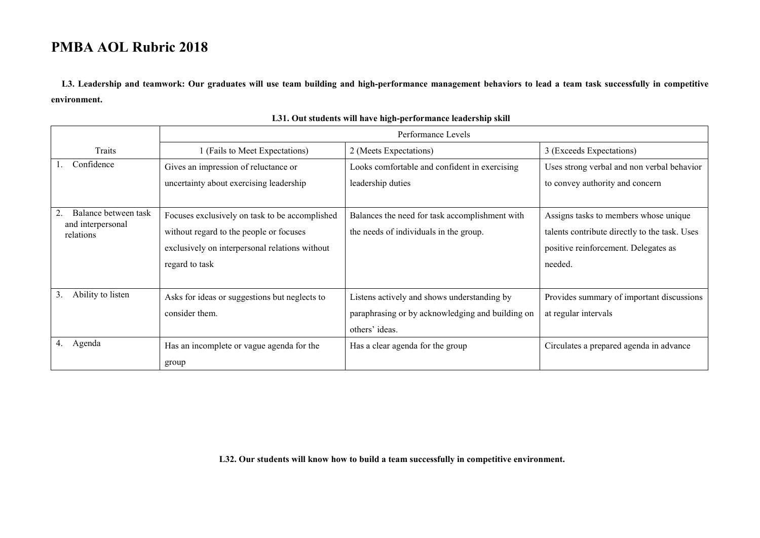**L3. Leadership and teamwork: Our graduates will use team building and high-performance management behaviors to lead a team task successfully in competitive environment.**

|                                           | Performance Levels                             |                                                  |                                               |
|-------------------------------------------|------------------------------------------------|--------------------------------------------------|-----------------------------------------------|
| Traits                                    | 1 (Fails to Meet Expectations)                 | 2 (Meets Expectations)                           | 3 (Exceeds Expectations)                      |
| Confidence                                | Gives an impression of reluctance or           | Looks comfortable and confident in exercising    | Uses strong verbal and non verbal behavior    |
|                                           | uncertainty about exercising leadership        | leadership duties                                | to convey authority and concern               |
|                                           |                                                |                                                  |                                               |
| Balance between task<br>and interpersonal | Focuses exclusively on task to be accomplished | Balances the need for task accomplishment with   | Assigns tasks to members whose unique         |
| relations                                 | without regard to the people or focuses        | the needs of individuals in the group.           | talents contribute directly to the task. Uses |
|                                           | exclusively on interpersonal relations without |                                                  | positive reinforcement. Delegates as          |
|                                           | regard to task                                 |                                                  | needed.                                       |
|                                           |                                                |                                                  |                                               |
| Ability to listen<br>3.                   | Asks for ideas or suggestions but neglects to  | Listens actively and shows understanding by      | Provides summary of important discussions     |
|                                           | consider them.                                 | paraphrasing or by acknowledging and building on | at regular intervals                          |
|                                           |                                                | others' ideas.                                   |                                               |
| Agenda<br>4.                              | Has an incomplete or vague agenda for the      | Has a clear agenda for the group                 | Circulates a prepared agenda in advance       |
|                                           | group                                          |                                                  |                                               |

#### **L31. Out students will have high-performance leadership skill**

**L32. Our students will know how to build a team successfully in competitive environment.**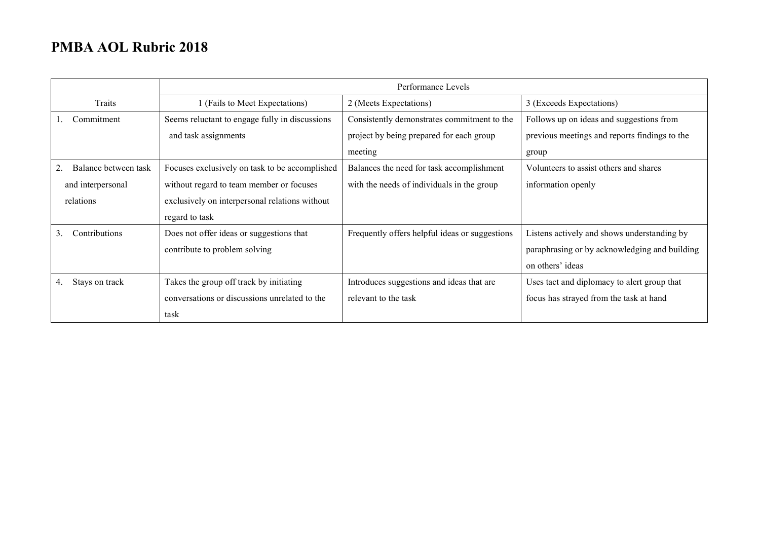|                      | Performance Levels                             |                                                |                                               |
|----------------------|------------------------------------------------|------------------------------------------------|-----------------------------------------------|
| Traits               | 1 (Fails to Meet Expectations)                 | 2 (Meets Expectations)                         | 3 (Exceeds Expectations)                      |
| Commitment           | Seems reluctant to engage fully in discussions | Consistently demonstrates commitment to the    | Follows up on ideas and suggestions from      |
|                      | and task assignments                           | project by being prepared for each group       | previous meetings and reports findings to the |
|                      |                                                | meeting                                        | group                                         |
| Balance between task | Focuses exclusively on task to be accomplished | Balances the need for task accomplishment      | Volunteers to assist others and shares        |
| and interpersonal    | without regard to team member or focuses       | with the needs of individuals in the group     | information openly                            |
| relations            | exclusively on interpersonal relations without |                                                |                                               |
|                      | regard to task                                 |                                                |                                               |
| Contributions<br>3.  | Does not offer ideas or suggestions that       | Frequently offers helpful ideas or suggestions | Listens actively and shows understanding by   |
|                      | contribute to problem solving                  |                                                | paraphrasing or by acknowledging and building |
|                      |                                                |                                                | on others' ideas                              |
| Stays on track<br>4. | Takes the group off track by initiating        | Introduces suggestions and ideas that are      | Uses tact and diplomacy to alert group that   |
|                      | conversations or discussions unrelated to the  | relevant to the task                           | focus has strayed from the task at hand       |
|                      | task                                           |                                                |                                               |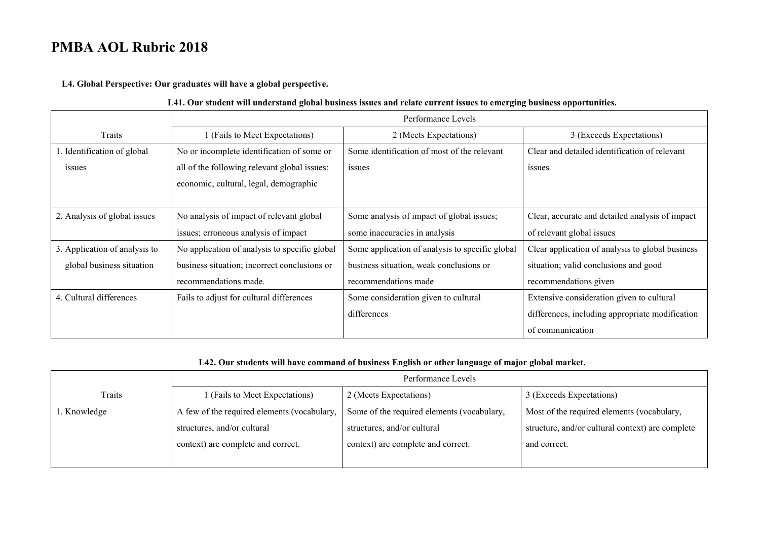**L4. Global Perspective: Our graduates will have a global perspective.**

#### **L41. Our student will understand global business issues and relate current issues to emerging business opportunities.**

|                               | Performance Levels                            |                                                 |                                                  |
|-------------------------------|-----------------------------------------------|-------------------------------------------------|--------------------------------------------------|
| Traits                        | 1 (Fails to Meet Expectations)                | 2 (Meets Expectations)                          | 3 (Exceeds Expectations)                         |
| 1. Identification of global   | No or incomplete identification of some or    | Some identification of most of the relevant     | Clear and detailed identification of relevant    |
| issues                        | all of the following relevant global issues:  | issues                                          | issues                                           |
|                               | economic, cultural, legal, demographic        |                                                 |                                                  |
|                               |                                               |                                                 |                                                  |
| 2. Analysis of global issues  | No analysis of impact of relevant global      | Some analysis of impact of global issues;       | Clear, accurate and detailed analysis of impact  |
|                               | issues; erroneous analysis of impact          | some inaccuracies in analysis                   | of relevant global issues                        |
| 3. Application of analysis to | No application of analysis to specific global | Some application of analysis to specific global | Clear application of analysis to global business |
| global business situation     | business situation; incorrect conclusions or  | business situation, weak conclusions or         | situation; valid conclusions and good            |
|                               | recommendations made.                         | recommendations made                            | recommendations given                            |
| 4. Cultural differences       | Fails to adjust for cultural differences      | Some consideration given to cultural            | Extensive consideration given to cultural        |
|                               |                                               | differences                                     | differences, including appropriate modification  |
|                               |                                               |                                                 | of communication                                 |

#### **L42. Our students will have command of business English or other language of major global market.**

|              | Performance Levels                          |                                            |                                                  |
|--------------|---------------------------------------------|--------------------------------------------|--------------------------------------------------|
| Traits       | 1 (Fails to Meet Expectations)              | 2 (Meets Expectations)                     | 3 (Exceeds Expectations)                         |
| 1. Knowledge | A few of the required elements (vocabulary, | Some of the required elements (vocabulary, | Most of the required elements (vocabulary,       |
|              | structures, and/or cultural                 | structures, and/or cultural                | structure, and/or cultural context) are complete |
|              | context) are complete and correct.          | context) are complete and correct.         | and correct.                                     |
|              |                                             |                                            |                                                  |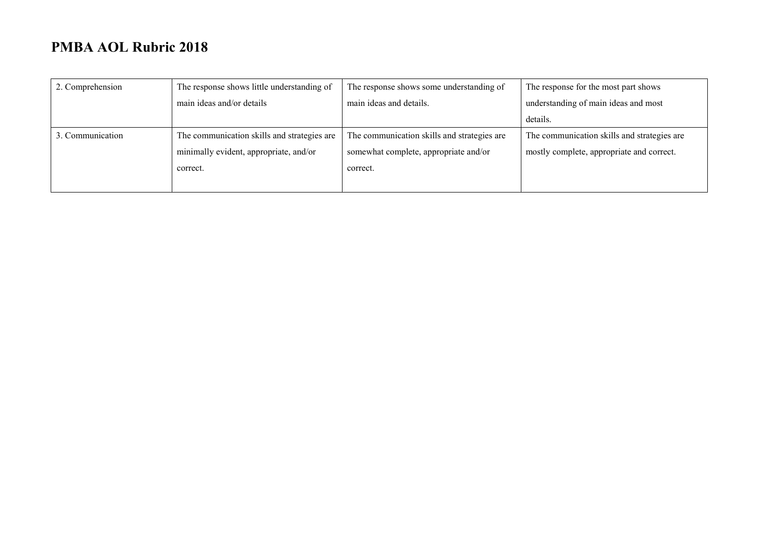| 2. Comprehension | The response shows little understanding of  | The response shows some understanding of    | The response for the most part shows        |
|------------------|---------------------------------------------|---------------------------------------------|---------------------------------------------|
|                  | main ideas and/or details                   | main ideas and details.                     | understanding of main ideas and most        |
|                  |                                             |                                             | details.                                    |
| 3. Communication | The communication skills and strategies are | The communication skills and strategies are | The communication skills and strategies are |
|                  | minimally evident, appropriate, and/or      | somewhat complete, appropriate and/or       | mostly complete, appropriate and correct.   |
|                  | correct.                                    | correct.                                    |                                             |
|                  |                                             |                                             |                                             |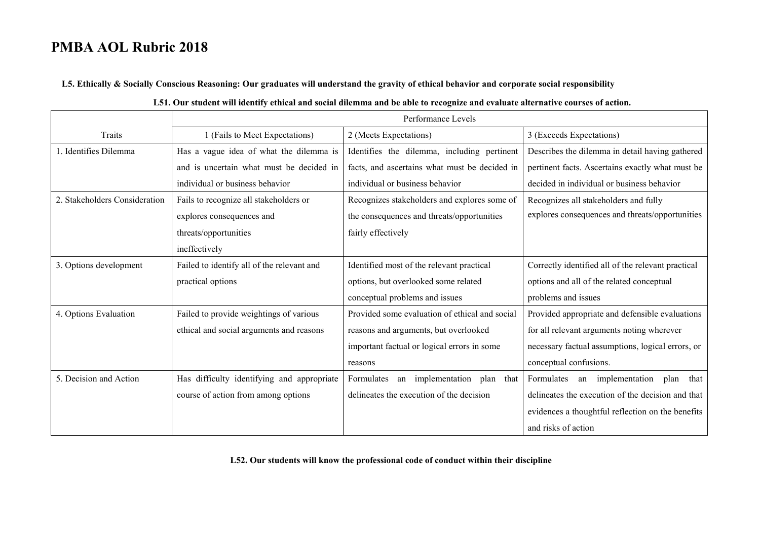**L5. Ethically & Socially Conscious Reasoning: Our graduates will understand the gravity of ethical behavior and corporate social responsibility**

|                               | Performance Levels                         |                                                |                                                    |
|-------------------------------|--------------------------------------------|------------------------------------------------|----------------------------------------------------|
| Traits                        | 1 (Fails to Meet Expectations)             | 2 (Meets Expectations)                         | 3 (Exceeds Expectations)                           |
| 1. Identifies Dilemma         | Has a vague idea of what the dilemma is    | Identifies the dilemma, including pertinent    | Describes the dilemma in detail having gathered    |
|                               | and is uncertain what must be decided in   | facts, and ascertains what must be decided in  | pertinent facts. Ascertains exactly what must be   |
|                               | individual or business behavior            | individual or business behavior                | decided in individual or business behavior         |
| 2. Stakeholders Consideration | Fails to recognize all stakeholders or     | Recognizes stakeholders and explores some of   | Recognizes all stakeholders and fully              |
|                               | explores consequences and                  | the consequences and threats/opportunities     | explores consequences and threats/opportunities    |
|                               | threats/opportunities                      | fairly effectively                             |                                                    |
|                               | ineffectively                              |                                                |                                                    |
| 3. Options development        | Failed to identify all of the relevant and | Identified most of the relevant practical      | Correctly identified all of the relevant practical |
|                               | practical options                          | options, but overlooked some related           | options and all of the related conceptual          |
|                               |                                            | conceptual problems and issues                 | problems and issues                                |
| 4. Options Evaluation         | Failed to provide weightings of various    | Provided some evaluation of ethical and social | Provided appropriate and defensible evaluations    |
|                               | ethical and social arguments and reasons   | reasons and arguments, but overlooked          | for all relevant arguments noting wherever         |
|                               |                                            | important factual or logical errors in some    | necessary factual assumptions, logical errors, or  |
|                               |                                            | reasons                                        | conceptual confusions.                             |
| 5. Decision and Action        | Has difficulty identifying and appropriate | an implementation<br>Formulates<br>plan that   | Formulates<br>an implementation<br>plan<br>that    |
|                               | course of action from among options        | delineates the execution of the decision       | delineates the execution of the decision and that  |
|                               |                                            |                                                | evidences a thoughtful reflection on the benefits  |
|                               |                                            |                                                | and risks of action                                |

**L52. Our students will know the professional code of conduct within their discipline**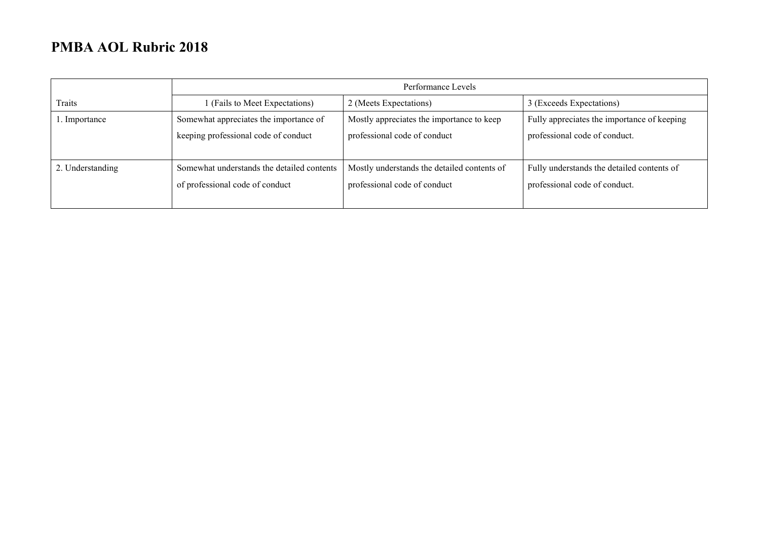|                  | Performance Levels                         |                                             |                                             |
|------------------|--------------------------------------------|---------------------------------------------|---------------------------------------------|
| Traits           | 1 (Fails to Meet Expectations)             | 2 (Meets Expectations)                      | 3 (Exceeds Expectations)                    |
| l. Importance    | Somewhat appreciates the importance of     | Mostly appreciates the importance to keep   | Fully appreciates the importance of keeping |
|                  | keeping professional code of conduct       | professional code of conduct                | professional code of conduct.               |
|                  |                                            |                                             |                                             |
| 2. Understanding | Somewhat understands the detailed contents | Mostly understands the detailed contents of | Fully understands the detailed contents of  |
|                  | of professional code of conduct            | professional code of conduct                | professional code of conduct.               |
|                  |                                            |                                             |                                             |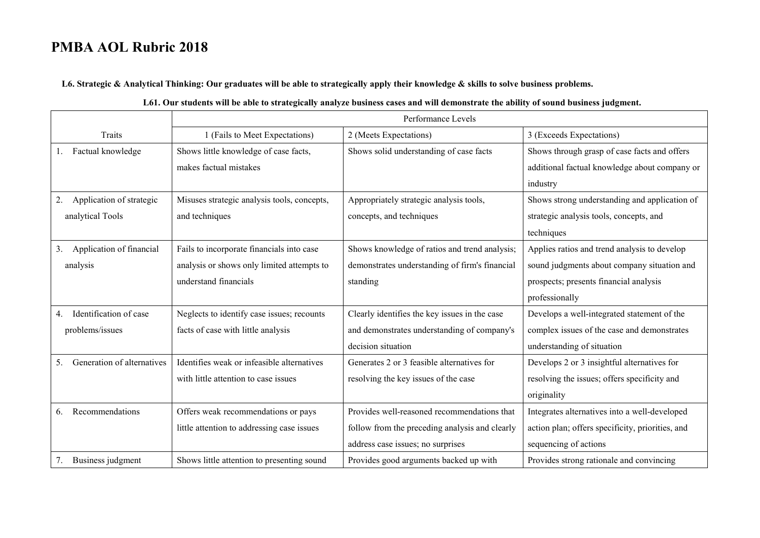**L6. Strategic & Analytical Thinking: Our graduates will be able to strategically apply their knowledge & skills to solve business problems.** 

|                                  | Performance Levels                          |                                                |                                                  |
|----------------------------------|---------------------------------------------|------------------------------------------------|--------------------------------------------------|
| Traits                           | 1 (Fails to Meet Expectations)              | 2 (Meets Expectations)                         | 3 (Exceeds Expectations)                         |
| Factual knowledge                | Shows little knowledge of case facts,       | Shows solid understanding of case facts        | Shows through grasp of case facts and offers     |
|                                  | makes factual mistakes                      |                                                | additional factual knowledge about company or    |
|                                  |                                             |                                                | industry                                         |
| 2.<br>Application of strategic   | Misuses strategic analysis tools, concepts, | Appropriately strategic analysis tools,        | Shows strong understanding and application of    |
| analytical Tools                 | and techniques                              | concepts, and techniques                       | strategic analysis tools, concepts, and          |
|                                  |                                             |                                                | techniques                                       |
| Application of financial<br>3.   | Fails to incorporate financials into case   | Shows knowledge of ratios and trend analysis;  | Applies ratios and trend analysis to develop     |
| analysis                         | analysis or shows only limited attempts to  | demonstrates understanding of firm's financial | sound judgments about company situation and      |
|                                  | understand financials                       | standing                                       | prospects; presents financial analysis           |
|                                  |                                             |                                                | professionally                                   |
| Identification of case<br>4.     | Neglects to identify case issues; recounts  | Clearly identifies the key issues in the case  | Develops a well-integrated statement of the      |
| problems/issues                  | facts of case with little analysis          | and demonstrates understanding of company's    | complex issues of the case and demonstrates      |
|                                  |                                             | decision situation                             | understanding of situation                       |
| Generation of alternatives<br>5. | Identifies weak or infeasible alternatives  | Generates 2 or 3 feasible alternatives for     | Develops 2 or 3 insightful alternatives for      |
|                                  | with little attention to case issues        | resolving the key issues of the case           | resolving the issues; offers specificity and     |
|                                  |                                             |                                                | originality                                      |
| Recommendations<br>6.            | Offers weak recommendations or pays         | Provides well-reasoned recommendations that    | Integrates alternatives into a well-developed    |
|                                  | little attention to addressing case issues  | follow from the preceding analysis and clearly | action plan; offers specificity, priorities, and |
|                                  |                                             | address case issues; no surprises              | sequencing of actions                            |
| Business judgment<br>7.          | Shows little attention to presenting sound  | Provides good arguments backed up with         | Provides strong rationale and convincing         |